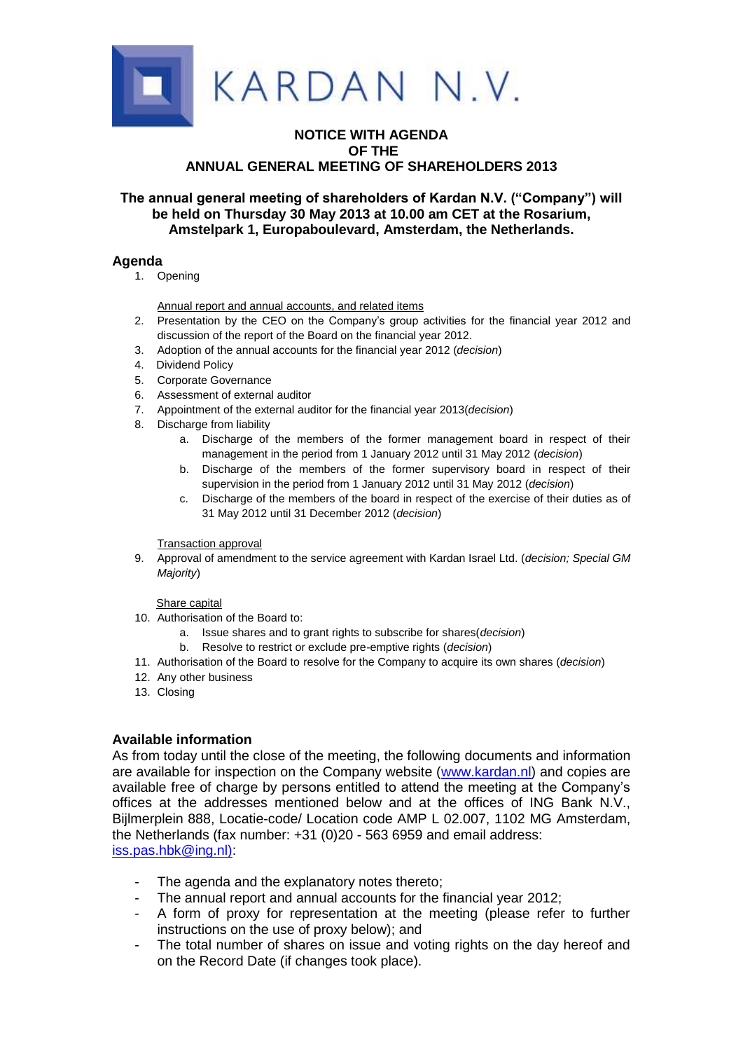

## **NOTICE WITH AGENDA OF THE ANNUAL GENERAL MEETING OF SHAREHOLDERS 2013**

# **The annual general meeting of shareholders of Kardan N.V. ("Company") will be held on Thursday 30 May 2013 at 10.00 am CET at the Rosarium, Amstelpark 1, Europaboulevard, Amsterdam, the Netherlands.**

## **Agenda**

1. Opening

Annual report and annual accounts, and related items

- 2. Presentation by the CEO on the Company's group activities for the financial year 2012 and discussion of the report of the Board on the financial year 2012.
- 3. Adoption of the annual accounts for the financial year 2012 (*decision*)
- 4. Dividend Policy
- 5. Corporate Governance
- 6. Assessment of external auditor
- 7. Appointment of the external auditor for the financial year 2013(*decision*)
- 8. Discharge from liability
	- a. Discharge of the members of the former management board in respect of their management in the period from 1 January 2012 until 31 May 2012 (*decision*)
	- b. Discharge of the members of the former supervisory board in respect of their supervision in the period from 1 January 2012 until 31 May 2012 (*decision*)
	- c. Discharge of the members of the board in respect of the exercise of their duties as of 31 May 2012 until 31 December 2012 (*decision*)

#### Transaction approval

9. Approval of amendment to the service agreement with Kardan Israel Ltd. (*decision; Special GM Majority*)

#### Share capital

- 10. Authorisation of the Board to:
	- a. Issue shares and to grant rights to subscribe for shares(*decision*)
	- b. Resolve to restrict or exclude pre-emptive rights (*decision*)
- 11. Authorisation of the Board to resolve for the Company to acquire its own shares (*decision*)
- 12. Any other business
- 13. Closing

## **Available information**

As from today until the close of the meeting, the following documents and information are available for inspection on the Company website [\(www.kardan.nl\)](http://www.kardan.nl/) and copies are available free of charge by persons entitled to attend the meeting at the Company's offices at the addresses mentioned below and at the offices of ING Bank N.V., Bijlmerplein 888, Locatie-code/ Location code AMP L 02.007, 1102 MG Amsterdam, the Netherlands (fax number: +31 (0)20 - 563 6959 and email address: [iss.pas.hbk@ing.nl\):](mailto:iss.pas.hbk@ing.nl))

- The agenda and the explanatory notes thereto;
- The annual report and annual accounts for the financial year 2012;
- A form of proxy for representation at the meeting (please refer to further instructions on the use of proxy below); and
- The total number of shares on issue and voting rights on the day hereof and on the Record Date (if changes took place).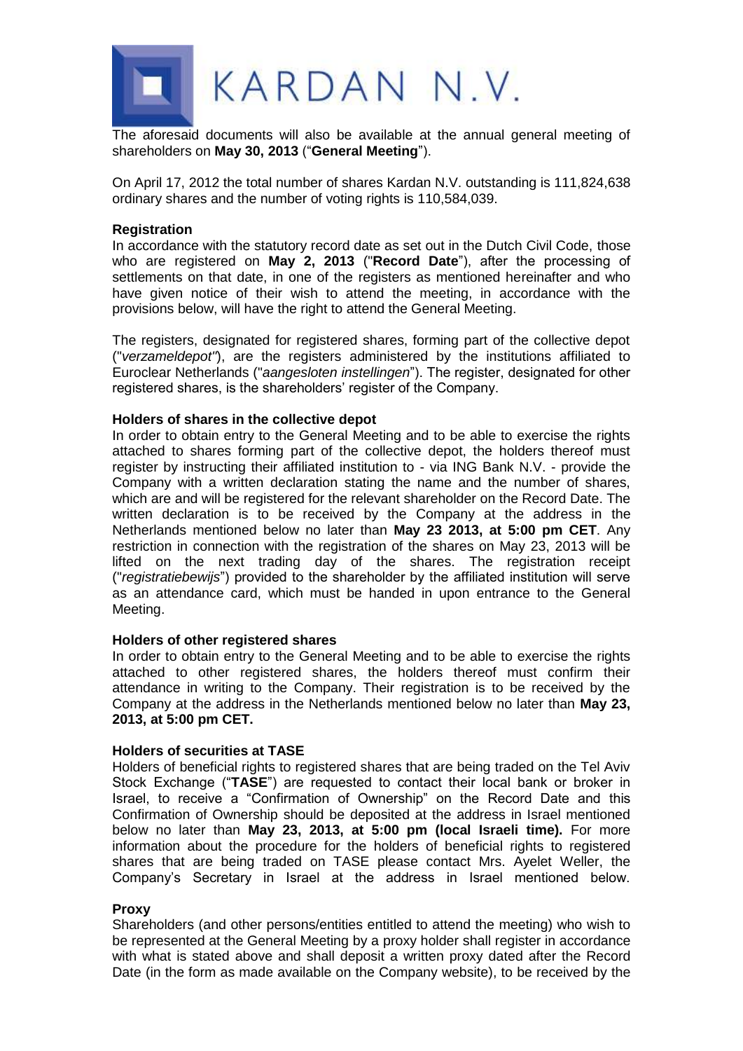

The aforesaid documents will also be available at the annual general meeting of shareholders on **May 30, 2013** ("**General Meeting**").

On April 17, 2012 the total number of shares Kardan N.V. outstanding is 111,824,638 ordinary shares and the number of voting rights is 110,584,039.

## **Registration**

In accordance with the statutory record date as set out in the Dutch Civil Code, those who are registered on **May 2, 2013** ("**Record Date**"), after the processing of settlements on that date, in one of the registers as mentioned hereinafter and who have given notice of their wish to attend the meeting, in accordance with the provisions below, will have the right to attend the General Meeting.

The registers, designated for registered shares, forming part of the collective depot ("*verzameldepot"*), are the registers administered by the institutions affiliated to Euroclear Netherlands ("*aangesloten instellingen*"). The register, designated for other registered shares, is the shareholders' register of the Company.

## **Holders of shares in the collective depot**

In order to obtain entry to the General Meeting and to be able to exercise the rights attached to shares forming part of the collective depot, the holders thereof must register by instructing their affiliated institution to - via ING Bank N.V. - provide the Company with a written declaration stating the name and the number of shares, which are and will be registered for the relevant shareholder on the Record Date. The written declaration is to be received by the Company at the address in the Netherlands mentioned below no later than **May 23 2013, at 5:00 pm CET**. Any restriction in connection with the registration of the shares on May 23, 2013 will be lifted on the next trading day of the shares. The registration receipt ("*registratiebewijs*") provided to the shareholder by the affiliated institution will serve as an attendance card, which must be handed in upon entrance to the General Meeting.

## **Holders of other registered shares**

In order to obtain entry to the General Meeting and to be able to exercise the rights attached to other registered shares, the holders thereof must confirm their attendance in writing to the Company. Their registration is to be received by the Company at the address in the Netherlands mentioned below no later than **May 23, 2013, at 5:00 pm CET.**

## **Holders of securities at TASE**

Holders of beneficial rights to registered shares that are being traded on the Tel Aviv Stock Exchange ("**TASE**") are requested to contact their local bank or broker in Israel, to receive a "Confirmation of Ownership" on the Record Date and this Confirmation of Ownership should be deposited at the address in Israel mentioned below no later than **May 23, 2013, at 5:00 pm (local Israeli time).** For more information about the procedure for the holders of beneficial rights to registered shares that are being traded on TASE please contact Mrs. Ayelet Weller, the Company's Secretary in Israel at the address in Israel mentioned below.

#### **Proxy**

Shareholders (and other persons/entities entitled to attend the meeting) who wish to be represented at the General Meeting by a proxy holder shall register in accordance with what is stated above and shall deposit a written proxy dated after the Record Date (in the form as made available on the Company website), to be received by the